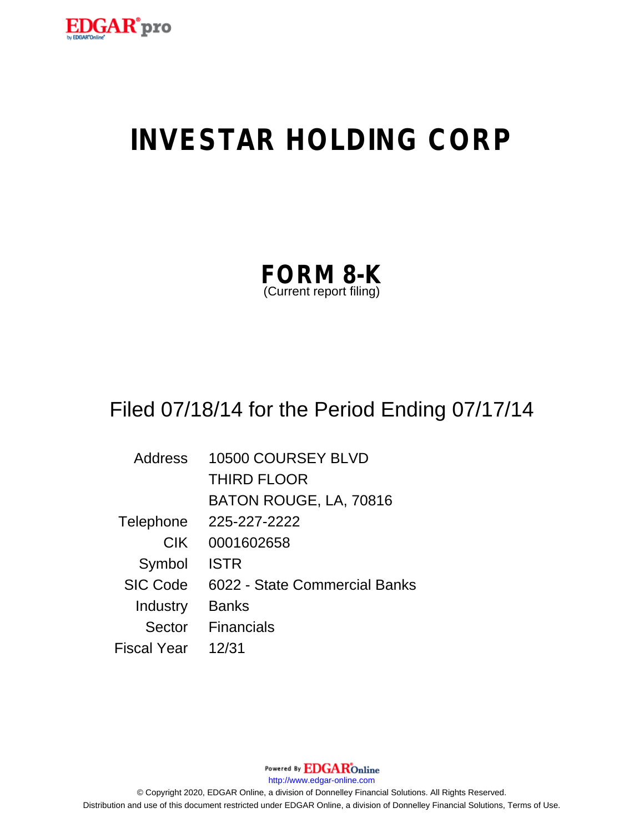

# **INVESTAR HOLDING CORP**

| <b>FORM 8-K</b>         |  |
|-------------------------|--|
| (Current report filing) |  |

# Filed 07/18/14 for the Period Ending 07/17/14

| Address         | 10500 COURSEY BLVD            |
|-----------------|-------------------------------|
|                 | <b>THIRD FLOOR</b>            |
|                 | BATON ROUGE, LA, 70816        |
| Telephone       | 225-227-2222                  |
| <b>CIK</b>      | 0001602658                    |
| Symbol          | <b>ISTR</b>                   |
| <b>SIC Code</b> | 6022 - State Commercial Banks |
| Industry        | <b>Banks</b>                  |
| Sector          | Financials                    |
| Fiscal Year     | 12/31                         |

Powered By **EDGAR**Online http://www.edgar-online.com © Copyright 2020, EDGAR Online, a division of Donnelley Financial Solutions. All Rights Reserved. Distribution and use of this document restricted under EDGAR Online, a division of Donnelley Financial Solutions, Terms of Use.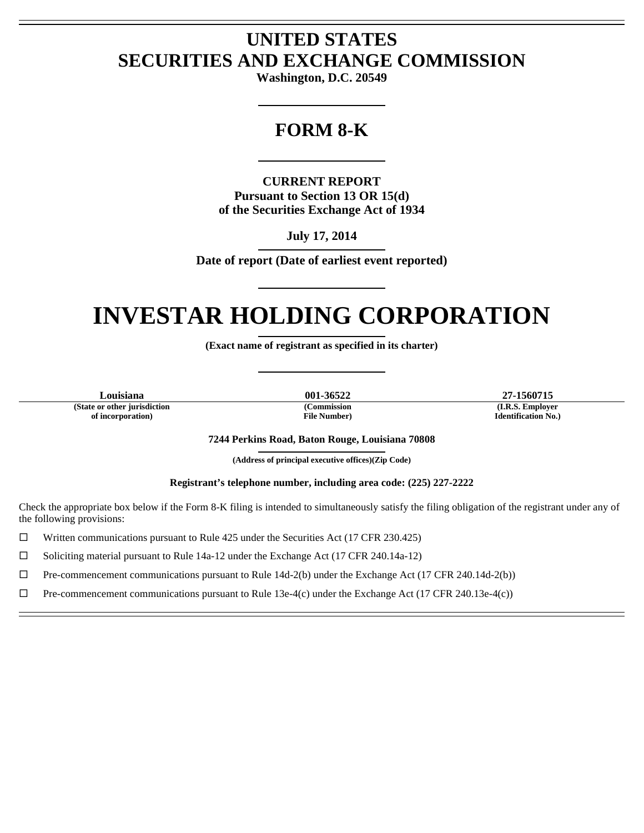# **UNITED STATES SECURITIES AND EXCHANGE COMMISSION**

**Washington, D.C. 20549** 

L

## **FORM 8-K**

L

**CURRENT REPORT Pursuant to Section 13 OR 15(d) of the Securities Exchange Act of 1934** 

> **July 17, 2014**  L

**Date of report (Date of earliest event reported)** 

L

### **INVESTAR HOLDING CORPORATION**  L

**(Exact name of registrant as specified in its charter)** 

L

**(State or other jurisdiction of incorporation)** 

 $\overline{a}$ Ē

 $\overline{a}$ Ē **(Commission File Number)** 

**Louisiana 001-36522 27-1560715 (I.R.S. Employer Identification No.)** 

**7244 Perkins Road, Baton Rouge, Louisiana 70808** 

**(Address of principal executive offices)(Zip Code)**  L

**Registrant's telephone number, including area code: (225) 227-2222** 

Check the appropriate box below if the Form 8-K filing is intended to simultaneously satisfy the filing obligation of the registrant under any of the following provisions:

 $\Box$  Written communications pursuant to Rule 425 under the Securities Act (17 CFR 230.425)

 $\Box$  Soliciting material pursuant to Rule 14a-12 under the Exchange Act (17 CFR 240.14a-12)

 $\Box$  Pre-commencement communications pursuant to Rule 14d-2(b) under the Exchange Act (17 CFR 240.14d-2(b))

 $\Box$  Pre-commencement communications pursuant to Rule 13e-4(c) under the Exchange Act (17 CFR 240.13e-4(c))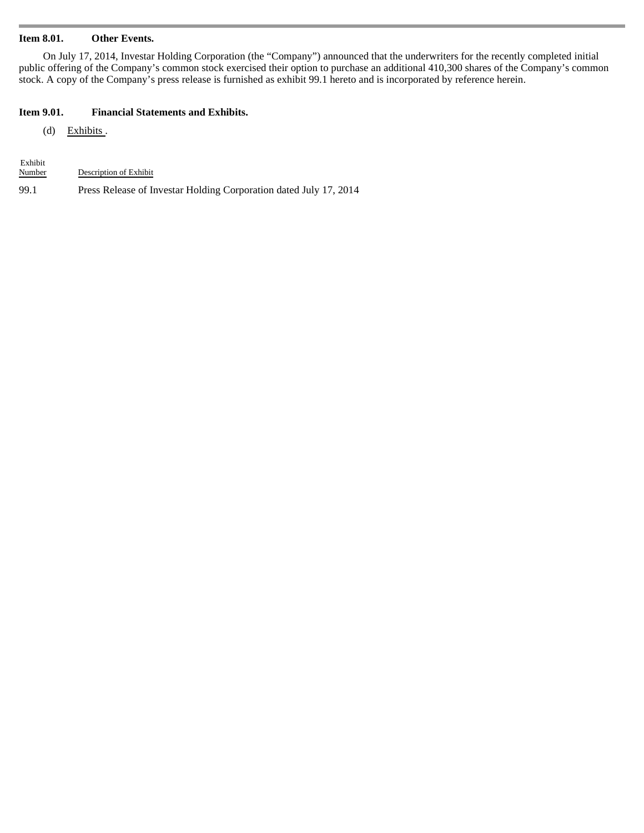#### **Item 8.01. Other Events.**

On July 17, 2014, Investar Holding Corporation (the "Company") announced that the underwriters for the recently completed initial public offering of the Company's common stock exercised their option to purchase an additional 410,300 shares of the Company's common stock. A copy of the Company's press release is furnished as exhibit 99.1 hereto and is incorporated by reference herein.

#### **Item 9.01. Financial Statements and Exhibits.**

(d) Exhibits.

| Exhibit |                                                                   |
|---------|-------------------------------------------------------------------|
| Number  | Description of Exhibit                                            |
| 99.1    | Press Release of Investar Holding Corporation dated July 17, 2014 |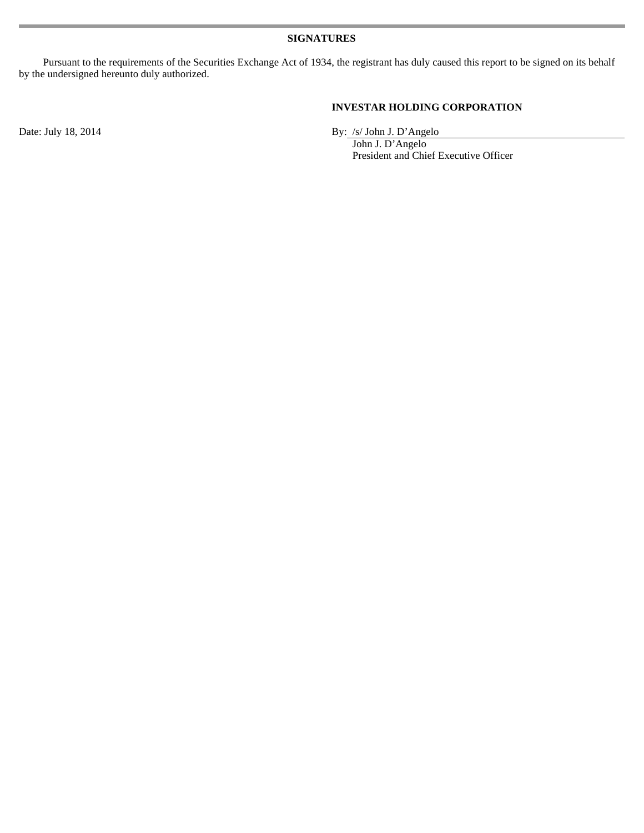Pursuant to the requirements of the Securities Exchange Act of 1934, the registrant has duly caused this report to be signed on its behalf by the undersigned hereunto duly authorized.

#### **INVESTAR HOLDING CORPORATION**

Date: July 18, 2014 By: /s/ John J. D'Angelo

 John J. D'Angelo President and Chief Executive Officer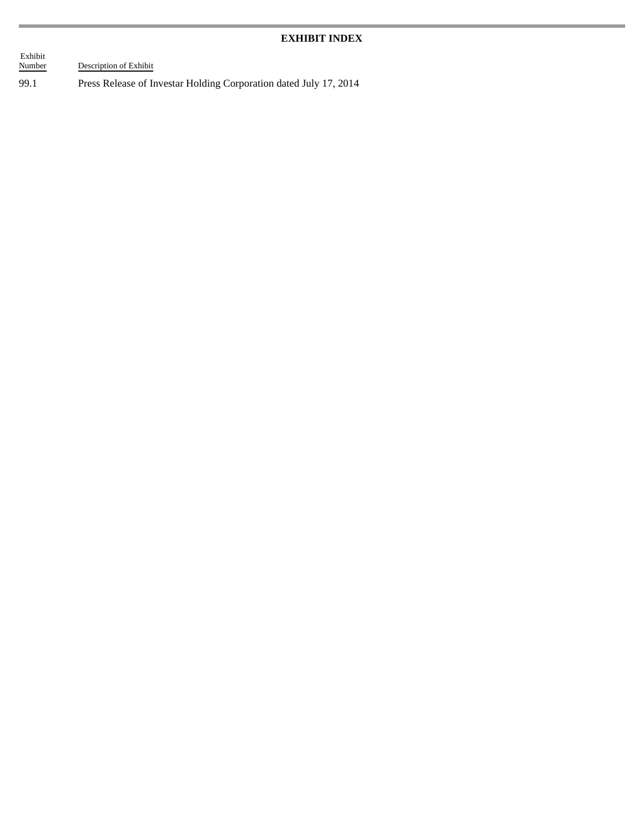#### **EXHIBIT INDEX**

 Exhibit Description of Exhibit

99.1 Press Release of Investar Holding Corporation dated July 17, 2014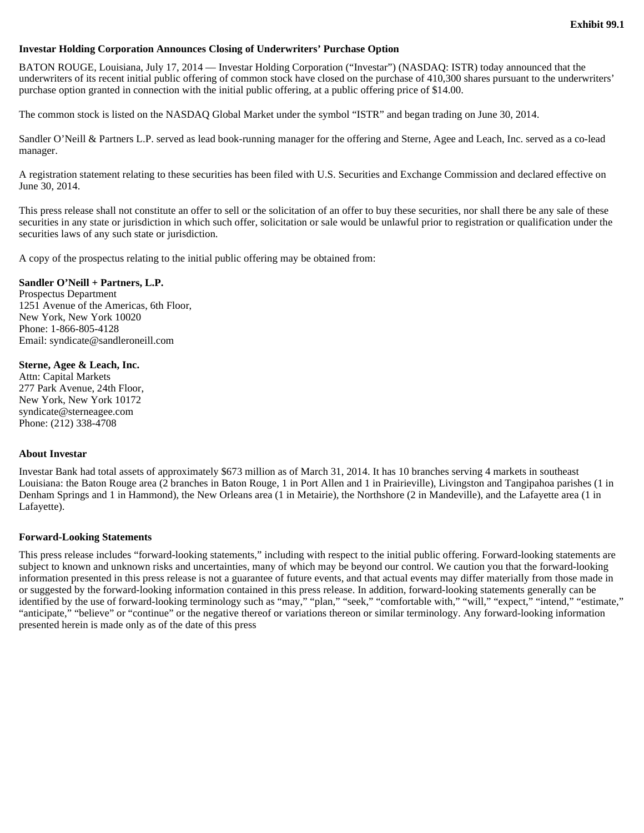#### **Investar Holding Corporation Announces Closing of Underwriters' Purchase Option**

BATON ROUGE, Louisiana, July 17, 2014 — Investar Holding Corporation ("Investar") (NASDAQ: ISTR) today announced that the underwriters of its recent initial public offering of common stock have closed on the purchase of 410,300 shares pursuant to the underwriters' purchase option granted in connection with the initial public offering, at a public offering price of \$14.00.

The common stock is listed on the NASDAQ Global Market under the symbol "ISTR" and began trading on June 30, 2014.

Sandler O'Neill & Partners L.P. served as lead book-running manager for the offering and Sterne, Agee and Leach, Inc. served as a co-lead manager.

A registration statement relating to these securities has been filed with U.S. Securities and Exchange Commission and declared effective on June 30, 2014.

This press release shall not constitute an offer to sell or the solicitation of an offer to buy these securities, nor shall there be any sale of these securities in any state or jurisdiction in which such offer, solicitation or sale would be unlawful prior to registration or qualification under the securities laws of any such state or jurisdiction.

A copy of the prospectus relating to the initial public offering may be obtained from:

#### **Sandler O'Neill + Partners, L.P.**

Prospectus Department 1251 Avenue of the Americas, 6th Floor, New York, New York 10020 Phone: 1-866-805-4128 Email: syndicate@sandleroneill.com

#### **Sterne, Agee & Leach, Inc.**

Attn: Capital Markets 277 Park Avenue, 24th Floor, New York, New York 10172 syndicate@sterneagee.com Phone: (212) 338-4708

#### **About Investar**

Investar Bank had total assets of approximately \$673 million as of March 31, 2014. It has 10 branches serving 4 markets in southeast Louisiana: the Baton Rouge area (2 branches in Baton Rouge, 1 in Port Allen and 1 in Prairieville), Livingston and Tangipahoa parishes (1 in Denham Springs and 1 in Hammond), the New Orleans area (1 in Metairie), the Northshore (2 in Mandeville), and the Lafayette area (1 in Lafayette).

#### **Forward-Looking Statements**

This press release includes "forward-looking statements," including with respect to the initial public offering. Forward-looking statements are subject to known and unknown risks and uncertainties, many of which may be beyond our control. We caution you that the forward-looking information presented in this press release is not a guarantee of future events, and that actual events may differ materially from those made in or suggested by the forward-looking information contained in this press release. In addition, forward-looking statements generally can be identified by the use of forward-looking terminology such as "may," "plan," "seek," "comfortable with," "will," "expect," "intend," "estimate," "anticipate," "believe" or "continue" or the negative thereof or variations thereon or similar terminology. Any forward-looking information presented herein is made only as of the date of this press